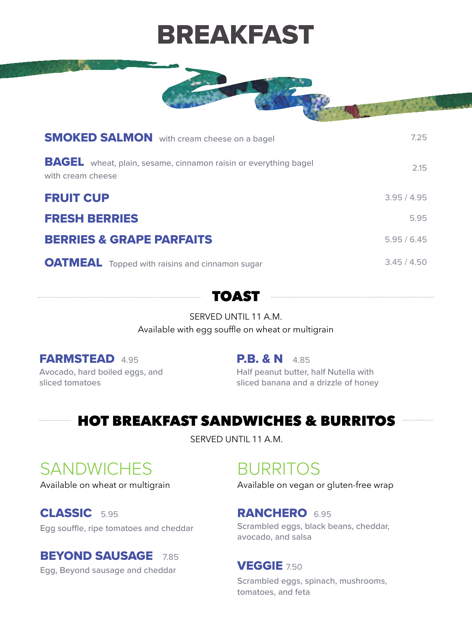#### FARMSTEAD4.95

Avocado, hard boiled eggs, and sliced tomatoes

#### **P.B. & N** 4.85

Half peanut butter, half Nutella with sliced banana and a drizzle of honey

| <b>SMOKED SALMON</b> with cream cheese on a bagel                                           | 7.25      |
|---------------------------------------------------------------------------------------------|-----------|
| <b>BAGEL</b> wheat, plain, sesame, cinnamon raisin or everything bagel<br>with cream cheese | 2.15      |
| <b>FRUIT CUP</b>                                                                            | 3.95/4.95 |
| FRESH BERRIES                                                                               | 5.95      |

#### BERRIES & GRAPE PARFAITS 5.95 / 6.45

OATMEAL Topped with raisins and cinnamon sugar 3.45 / 4.50

#### CLASSIC5.95

Egg souffle, ripe tomatoes and cheddar

#### BEYOND SAUSAGE7.85

Egg, Beyond sausage and cheddar

#### RANCHERO6.95

Scrambled eggs, black beans, cheddar, avocado, and salsa

#### VEGGIE 7.50

Scrambled eggs, spinach, mushrooms, tomatoes, and feta



#### SERVED UNTIL 11 A.M.

Available with egg souffle on wheat or multigrain

## HOT BREAKFAST SANDWICHES & BURRITOS

SERVED UNTIL 11 A.M.

# SANDWICHES BURRITOS

# BREAKFAST



Available on wheat or multigrain Available on vegan or gluten-free wrap